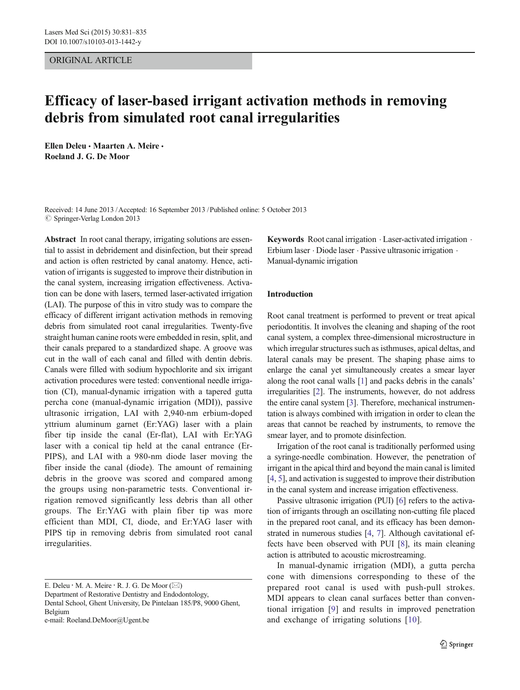## ORIGINAL ARTICLE

# Efficacy of laser-based irrigant activation methods in removing debris from simulated root canal irregularities

Ellen Deleu • Maarten A. Meire • Roeland J. G. De Moor

Received: 14 June 2013 /Accepted: 16 September 2013 /Published online: 5 October 2013  $\oslash$  Springer-Verlag London 2013

Abstract In root canal therapy, irrigating solutions are essential to assist in debridement and disinfection, but their spread and action is often restricted by canal anatomy. Hence, activation of irrigants is suggested to improve their distribution in the canal system, increasing irrigation effectiveness. Activation can be done with lasers, termed laser-activated irrigation (LAI). The purpose of this in vitro study was to compare the efficacy of different irrigant activation methods in removing debris from simulated root canal irregularities. Twenty-five straight human canine roots were embedded in resin, split, and their canals prepared to a standardized shape. A groove was cut in the wall of each canal and filled with dentin debris. Canals were filled with sodium hypochlorite and six irrigant activation procedures were tested: conventional needle irrigation (CI), manual-dynamic irrigation with a tapered gutta percha cone (manual-dynamic irrigation (MDI)), passive ultrasonic irrigation, LAI with 2,940-nm erbium-doped yttrium aluminum garnet (Er:YAG) laser with a plain fiber tip inside the canal (Er-flat), LAI with Er:YAG laser with a conical tip held at the canal entrance (Er-PIPS), and LAI with a 980-nm diode laser moving the fiber inside the canal (diode). The amount of remaining debris in the groove was scored and compared among the groups using non-parametric tests. Conventional irrigation removed significantly less debris than all other groups. The Er:YAG with plain fiber tip was more efficient than MDI, CI, diode, and Er:YAG laser with PIPS tip in removing debris from simulated root canal irregularities.

E. Deleu · M. A. Meire · R. J. G. De Moor  $(\boxtimes)$ 

Dental School, Ghent University, De Pintelaan 185/P8, 9000 Ghent, Belgium

e-mail: Roeland.DeMoor@Ugent.be

Keywords Root canal irrigation  $\cdot$  Laser-activated irrigation  $\cdot$ Erbium laser . Diode laser . Passive ultrasonic irrigation . Manual-dynamic irrigation

#### Introduction

Root canal treatment is performed to prevent or treat apical periodontitis. It involves the cleaning and shaping of the root canal system, a complex three-dimensional microstructure in which irregular structures such as isthmuses, apical deltas, and lateral canals may be present. The shaping phase aims to enlarge the canal yet simultaneously creates a smear layer along the root canal walls [\[1\]](#page-3-0) and packs debris in the canals' irregularities [[2\]](#page-3-0). The instruments, however, do not address the entire canal system [\[3](#page-4-0)]. Therefore, mechanical instrumentation is always combined with irrigation in order to clean the areas that cannot be reached by instruments, to remove the smear layer, and to promote disinfection.

Irrigation of the root canal is traditionally performed using a syringe-needle combination. However, the penetration of irrigant in the apical third and beyond the main canal is limited [\[4](#page-4-0), [5\]](#page-4-0), and activation is suggested to improve their distribution in the canal system and increase irrigation effectiveness.

Passive ultrasonic irrigation (PUI) [\[6\]](#page-4-0) refers to the activation of irrigants through an oscillating non-cutting file placed in the prepared root canal, and its efficacy has been demonstrated in numerous studies [[4,](#page-4-0) [7](#page-4-0)]. Although cavitational effects have been observed with PUI [[8\]](#page-4-0), its main cleaning action is attributed to acoustic microstreaming.

In manual-dynamic irrigation (MDI), a gutta percha cone with dimensions corresponding to these of the prepared root canal is used with push-pull strokes. MDI appears to clean canal surfaces better than conventional irrigation [\[9\]](#page-4-0) and results in improved penetration and exchange of irrigating solutions [\[10\]](#page-4-0).

Department of Restorative Dentistry and Endodontology,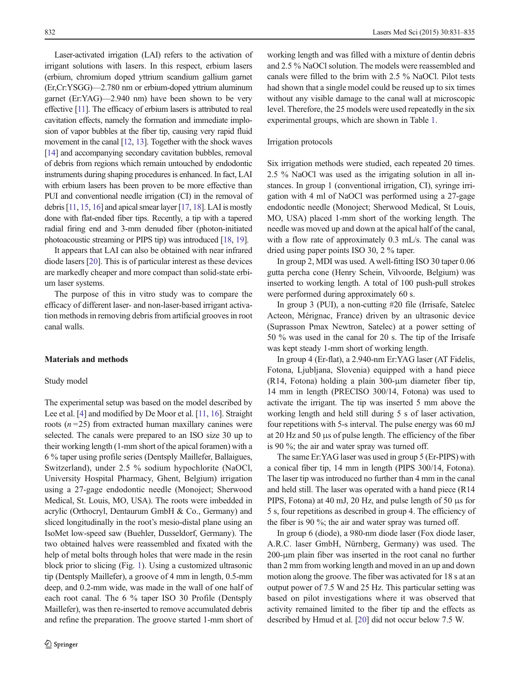Laser-activated irrigation (LAI) refers to the activation of irrigant solutions with lasers. In this respect, erbium lasers (erbium, chromium doped yttrium scandium gallium garnet (Er,Cr:YSGG)—2.780 nm or erbium-doped yttrium aluminum garnet (Er:YAG)—2.940 nm) have been shown to be very effective [[11\]](#page-4-0). The efficacy of erbium lasers is attributed to real cavitation effects, namely the formation and immediate implosion of vapor bubbles at the fiber tip, causing very rapid fluid movement in the canal [[12](#page-4-0), [13](#page-4-0)]. Together with the shock waves [\[14\]](#page-4-0) and accompanying secondary cavitation bubbles, removal of debris from regions which remain untouched by endodontic instruments during shaping procedures is enhanced. In fact, LAI with erbium lasers has been proven to be more effective than PUI and conventional needle irrigation (CI) in the removal of debris [[11,](#page-4-0) [15,](#page-4-0) [16](#page-4-0)] and apical smear layer [\[17,](#page-4-0) [18\]](#page-4-0). LAI is mostly done with flat-ended fiber tips. Recently, a tip with a tapered radial firing end and 3-mm denuded fiber (photon-initiated photoacoustic streaming or PIPS tip) was introduced [[18](#page-4-0), [19\]](#page-4-0).

It appears that LAI can also be obtained with near infrared diode lasers [\[20\]](#page-4-0). This is of particular interest as these devices are markedly cheaper and more compact than solid-state erbium laser systems.

The purpose of this in vitro study was to compare the efficacy of different laser- and non-laser-based irrigant activation methods in removing debris from artificial grooves in root canal walls.

## Materials and methods

#### Study model

The experimental setup was based on the model described by Lee et al. [\[4](#page-4-0)] and modified by De Moor et al. [\[11,](#page-4-0) [16\]](#page-4-0). Straight roots  $(n=25)$  from extracted human maxillary canines were selected. The canals were prepared to an ISO size 30 up to their working length (1-mm short of the apical foramen) with a 6 % taper using profile series (Dentsply Maillefer, Ballaigues, Switzerland), under 2.5 % sodium hypochlorite (NaOCl, University Hospital Pharmacy, Ghent, Belgium) irrigation using a 27-gage endodontic needle (Monoject; Sherwood Medical, St. Louis, MO, USA). The roots were imbedded in acrylic (Orthocryl, Dentaurum GmbH & Co., Germany) and sliced longitudinally in the root's mesio-distal plane using an IsoMet low-speed saw (Buehler, Dusseldorf, Germany). The two obtained halves were reassembled and fixated with the help of metal bolts through holes that were made in the resin block prior to slicing (Fig. [1](#page-2-0)). Using a customized ultrasonic tip (Dentsply Maillefer), a groove of 4 mm in length, 0.5-mm deep, and 0.2-mm wide, was made in the wall of one half of each root canal. The 6 % taper ISO 30 Profile (Dentsply Maillefer), was then re-inserted to remove accumulated debris and refine the preparation. The groove started 1-mm short of

working length and was filled with a mixture of dentin debris and 2.5 % NaOCl solution. The models were reassembled and canals were filled to the brim with 2.5 % NaOCl. Pilot tests had shown that a single model could be reused up to six times without any visible damage to the canal wall at microscopic level. Therefore, the 25 models were used repeatedly in the six experimental groups, which are shown in Table [1.](#page-2-0)

## Irrigation protocols

Six irrigation methods were studied, each repeated 20 times. 2.5 % NaOCl was used as the irrigating solution in all instances. In group 1 (conventional irrigation, CI), syringe irrigation with 4 ml of NaOCl was performed using a 27-gage endodontic needle (Monoject; Sherwood Medical, St Louis, MO, USA) placed 1-mm short of the working length. The needle was moved up and down at the apical half of the canal, with a flow rate of approximately 0.3 mL/s. The canal was dried using paper points ISO 30, 2 % taper.

In group 2, MDI was used. A well-fitting ISO 30 taper 0.06 gutta percha cone (Henry Schein, Vilvoorde, Belgium) was inserted to working length. A total of 100 push-pull strokes were performed during approximately 60 s.

In group 3 (PUI), a non-cutting #20 file (Irrisafe, Satelec Acteon, Mérignac, France) driven by an ultrasonic device (Suprasson Pmax Newtron, Satelec) at a power setting of 50 % was used in the canal for 20 s. The tip of the Irrisafe was kept steady 1-mm short of working length.

In group 4 (Er-flat), a 2.940-nm Er:YAG laser (AT Fidelis, Fotona, Ljubljana, Slovenia) equipped with a hand piece (R14, Fotona) holding a plain 300-μm diameter fiber tip, 14 mm in length (PRECISO 300/14, Fotona) was used to activate the irrigant. The tip was inserted 5 mm above the working length and held still during 5 s of laser activation, four repetitions with 5-s interval. The pulse energy was 60 mJ at 20 Hz and 50 μs of pulse length. The efficiency of the fiber is 90 %; the air and water spray was turned off.

The same Er:YAG laser was used in group 5 (Er-PIPS) with a conical fiber tip, 14 mm in length (PIPS 300/14, Fotona). The laser tip was introduced no further than 4 mm in the canal and held still. The laser was operated with a hand piece (R14 PIPS, Fotona) at 40 mJ, 20 Hz, and pulse length of 50 μs for 5 s, four repetitions as described in group 4. The efficiency of the fiber is 90 %; the air and water spray was turned off.

In group 6 (diode), a 980-nm diode laser (Fox diode laser, A.R.C. laser GmbH, Nürnberg, Germany) was used. The 200-μm plain fiber was inserted in the root canal no further than 2 mm from working length and moved in an up and down motion along the groove. The fiber was activated for 18 s at an output power of 7.5 W and 25 Hz. This particular setting was based on pilot investigations where it was observed that activity remained limited to the fiber tip and the effects as described by Hmud et al. [\[20\]](#page-4-0) did not occur below 7.5 W.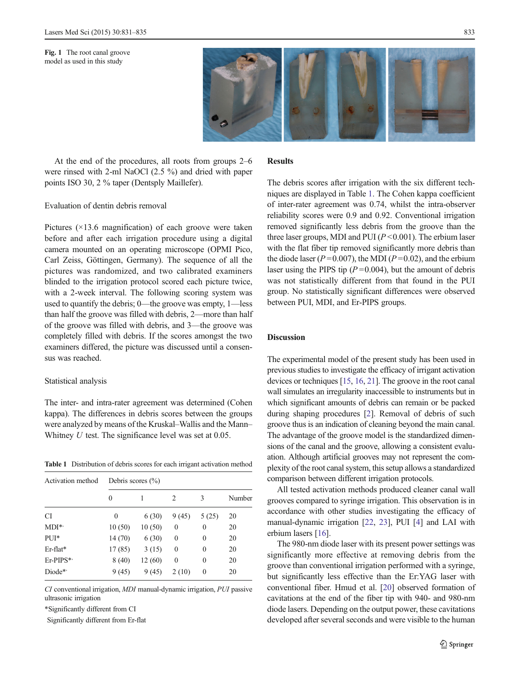

<span id="page-2-0"></span>At the end of the procedures, all roots from groups 2–6 were rinsed with 2-ml NaOCl (2.5 %) and dried with paper points ISO 30, 2 % taper (Dentsply Maillefer).

# Evaluation of dentin debris removal

Pictures  $(\times 13.6$  magnification) of each groove were taken before and after each irrigation procedure using a digital camera mounted on an operating microscope (OPMI Pico, Carl Zeiss, Göttingen, Germany). The sequence of all the pictures was randomized, and two calibrated examiners blinded to the irrigation protocol scored each picture twice, with a 2-week interval. The following scoring system was used to quantify the debris; 0—the groove was empty, 1—less than half the groove was filled with debris, 2—more than half of the groove was filled with debris, and 3—the groove was completely filled with debris. If the scores amongst the two examiners differed, the picture was discussed until a consensus was reached.

#### Statistical analysis

The inter- and intra-rater agreement was determined (Cohen kappa). The differences in debris scores between the groups were analyzed by means of the Kruskal–Wallis and the Mann– Whitney  $U$  test. The significance level was set at 0.05.

Table 1 Distribution of debris scores for each irrigant activation method

| Activation method | Debris scores $(\% )$ |        |                  |          |        |
|-------------------|-----------------------|--------|------------------|----------|--------|
|                   | $\theta$              |        | 2                | 3        | Number |
| <b>CI</b>         | 0                     | 6(30)  | 9(45)            | 5(25)    | 20     |
| $MDI^*$           | 10(50)                | 10(50) | $\boldsymbol{0}$ | 0        | 20     |
| PUI*              | 14 (70)               | 6(30)  | $\boldsymbol{0}$ | 0        | 20     |
| $Er$ -flat*       | 17 (85)               | 3(15)  | $\boldsymbol{0}$ | 0        | 20     |
| Er-PIPS*          | 8(40)                 | 12(60) | $\boldsymbol{0}$ | 0        | 20     |
| Diode*            | 9(45)                 | 9(45)  | 2(10)            | $\theta$ | 20     |

CI conventional irrigation, MDI manual-dynamic irrigation, PUI passive ultrasonic irrigation

\*Significantly different from CI

Significantly different from Er-flat

## Results

The debris scores after irrigation with the six different techniques are displayed in Table 1. The Cohen kappa coefficient of inter-rater agreement was 0.74, whilst the intra-observer reliability scores were 0.9 and 0.92. Conventional irrigation removed significantly less debris from the groove than the three laser groups, MDI and PUI ( $P < 0.001$ ). The erbium laser with the flat fiber tip removed significantly more debris than the diode laser ( $P = 0.007$ ), the MDI ( $P = 0.02$ ), and the erbium laser using the PIPS tip  $(P=0.004)$ , but the amount of debris was not statistically different from that found in the PUI group. No statistically significant differences were observed between PUI, MDI, and Er-PIPS groups.

## Discussion

The experimental model of the present study has been used in previous studies to investigate the efficacy of irrigant activation devices or techniques [\[15](#page-4-0), [16](#page-4-0), [21](#page-4-0)]. The groove in the root canal wall simulates an irregularity inaccessible to instruments but in which significant amounts of debris can remain or be packed during shaping procedures [\[2\]](#page-3-0). Removal of debris of such groove thus is an indication of cleaning beyond the main canal. The advantage of the groove model is the standardized dimensions of the canal and the groove, allowing a consistent evaluation. Although artificial grooves may not represent the complexity of the root canal system, this setup allows a standardized comparison between different irrigation protocols.

All tested activation methods produced cleaner canal wall grooves compared to syringe irrigation. This observation is in accordance with other studies investigating the efficacy of manual-dynamic irrigation [\[22,](#page-4-0) [23](#page-4-0)], PUI [[4](#page-4-0)] and LAI with erbium lasers [[16\]](#page-4-0).

The 980-nm diode laser with its present power settings was significantly more effective at removing debris from the groove than conventional irrigation performed with a syringe, but significantly less effective than the Er:YAG laser with conventional fiber. Hmud et al. [[20\]](#page-4-0) observed formation of cavitations at the end of the fiber tip with 940- and 980-nm diode lasers. Depending on the output power, these cavitations developed after several seconds and were visible to the human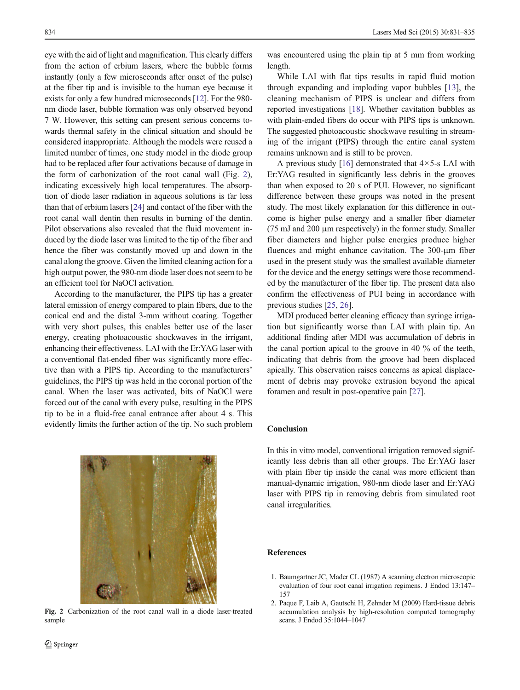<span id="page-3-0"></span>eye with the aid of light and magnification. This clearly differs from the action of erbium lasers, where the bubble forms instantly (only a few microseconds after onset of the pulse) at the fiber tip and is invisible to the human eye because it exists for only a few hundred microseconds [\[12\]](#page-4-0). For the 980 nm diode laser, bubble formation was only observed beyond 7 W. However, this setting can present serious concerns towards thermal safety in the clinical situation and should be considered inappropriate. Although the models were reused a limited number of times, one study model in the diode group had to be replaced after four activations because of damage in the form of carbonization of the root canal wall (Fig. 2), indicating excessively high local temperatures. The absorption of diode laser radiation in aqueous solutions is far less than that of erbium lasers [[24\]](#page-4-0) and contact of the fiber with the root canal wall dentin then results in burning of the dentin. Pilot observations also revealed that the fluid movement induced by the diode laser was limited to the tip of the fiber and hence the fiber was constantly moved up and down in the canal along the groove. Given the limited cleaning action for a high output power, the 980-nm diode laser does not seem to be an efficient tool for NaOCl activation.

According to the manufacturer, the PIPS tip has a greater lateral emission of energy compared to plain fibers, due to the conical end and the distal 3-mm without coating. Together with very short pulses, this enables better use of the laser energy, creating photoacoustic shockwaves in the irrigant, enhancing their effectiveness. LAI with the Er:YAG laser with a conventional flat-ended fiber was significantly more effective than with a PIPS tip. According to the manufacturers' guidelines, the PIPS tip was held in the coronal portion of the canal. When the laser was activated, bits of NaOCl were forced out of the canal with every pulse, resulting in the PIPS tip to be in a fluid-free canal entrance after about 4 s. This evidently limits the further action of the tip. No such problem



Fig. 2 Carbonization of the root canal wall in a diode laser-treated sample

was encountered using the plain tip at 5 mm from working length.

While LAI with flat tips results in rapid fluid motion through expanding and imploding vapor bubbles [[13\]](#page-4-0), the cleaning mechanism of PIPS is unclear and differs from reported investigations [\[18\]](#page-4-0). Whether cavitation bubbles as with plain-ended fibers do occur with PIPS tips is unknown. The suggested photoacoustic shockwave resulting in streaming of the irrigant (PIPS) through the entire canal system remains unknown and is still to be proven.

A previous study [[16](#page-4-0)] demonstrated that  $4 \times 5$ -s LAI with Er:YAG resulted in significantly less debris in the grooves than when exposed to 20 s of PUI. However, no significant difference between these groups was noted in the present study. The most likely explanation for this difference in outcome is higher pulse energy and a smaller fiber diameter (75 mJ and 200 μm respectively) in the former study. Smaller fiber diameters and higher pulse energies produce higher fluences and might enhance cavitation. The 300-μm fiber used in the present study was the smallest available diameter for the device and the energy settings were those recommended by the manufacturer of the fiber tip. The present data also confirm the effectiveness of PUI being in accordance with previous studies [[25](#page-4-0), [26](#page-4-0)].

MDI produced better cleaning efficacy than syringe irrigation but significantly worse than LAI with plain tip. An additional finding after MDI was accumulation of debris in the canal portion apical to the groove in 40 % of the teeth, indicating that debris from the groove had been displaced apically. This observation raises concerns as apical displacement of debris may provoke extrusion beyond the apical foramen and result in post-operative pain [\[27\]](#page-4-0).

# Conclusion

In this in vitro model, conventional irrigation removed significantly less debris than all other groups. The Er:YAG laser with plain fiber tip inside the canal was more efficient than manual-dynamic irrigation, 980-nm diode laser and Er:YAG laser with PIPS tip in removing debris from simulated root canal irregularities.

## References

- 1. Baumgartner JC, Mader CL (1987) A scanning electron microscopic evaluation of four root canal irrigation regimens. J Endod 13:147– 157
- 2. Paque F, Laib A, Gautschi H, Zehnder M (2009) Hard-tissue debris accumulation analysis by high-resolution computed tomography scans. J Endod 35:1044–1047